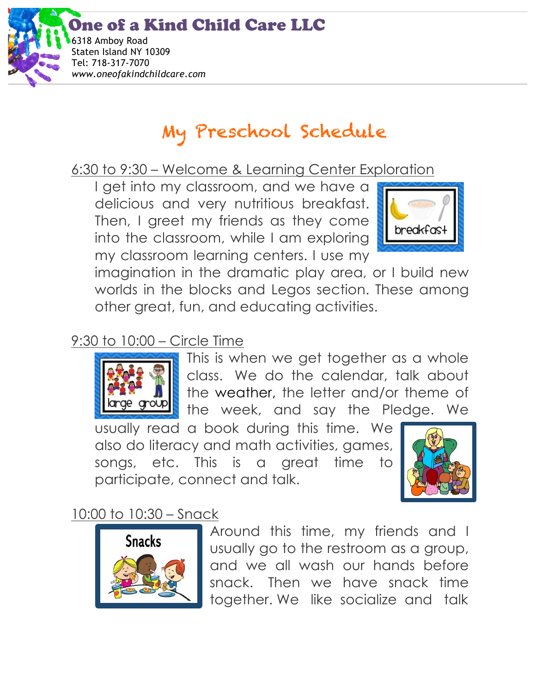ne of a Kind Child Care LLC



# My Preschool Schedule

6:30 to 9:30 – Welcome & Learning Center Exploration

I get into my classroom, and we have a delicious and very nutritious breakfast. Then, I greet my friends as they come into the classroom, while I am exploring my classroom learning centers. I use my



imagination in the dramatic play area, or I build new worlds in the blocks and Legos section. These among other great, fun, and educating activities.

# 9:30 to 10:00 – Circle Time



This is when we get together as a whole class. We do the calendar, talk about the weather, the letter and/or theme of the week, and say the Pledge. We

usually read a book during this time. We also do literacy and math activities, games, songs, etc. This is a great time to participate, connect and talk.



# 10:00 to 10:30 – Snack



Around this time, my friends and I usually go to the restroom as a group, and we all wash our hands before snack. Then we have snack time together. We like socialize and talk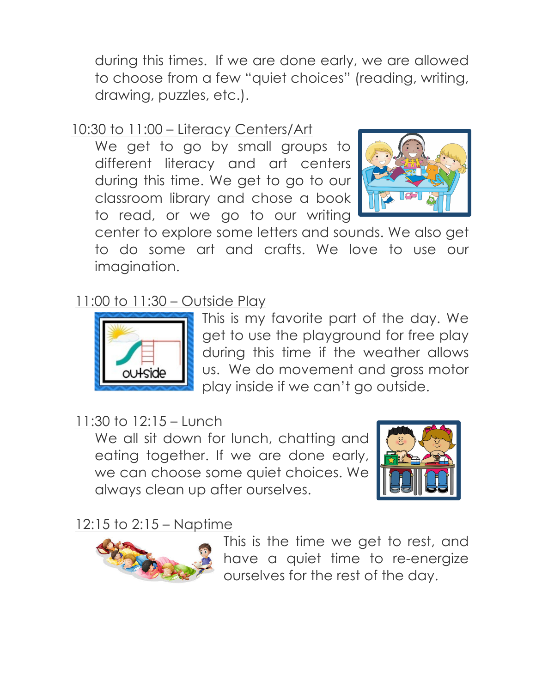during this times. If we are done early, we are allowed to choose from a few "quiet choices" (reading, writing, drawing, puzzles, etc.).

## 10:30 to 11:00 – Literacy Centers/Art

We get to go by small groups to different literacy and art centers during this time. We get to go to our classroom library and chose a book to read, or we go to our writing



center to explore some letters and sounds. We also get to do some art and crafts. We love to use our imagination.

#### 11:00 to 11:30 – Outside Play



This is my favorite part of the day. We get to use the playground for free play during this time if the weather allows us. We do movement and gross motor play inside if we can't go outside.

### 11:30 to 12:15 – Lunch

We all sit down for lunch, chatting and eating together. If we are done early, we can choose some quiet choices. We always clean up after ourselves.



## 12:15 to 2:15 – Naptime



This is the time we get to rest, and have a quiet time to re-energize ourselves for the rest of the day.